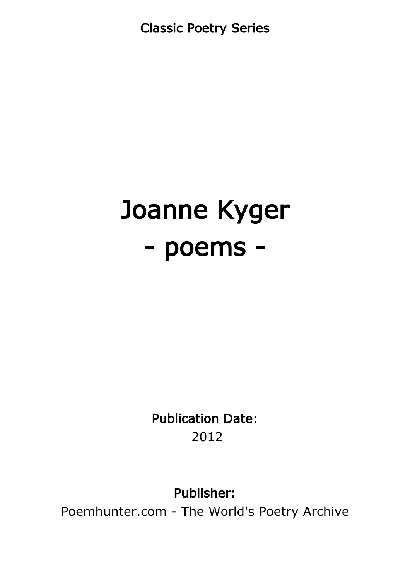Classic Poetry Series

# Joanne Kyger - poems -

Publication Date: 2012

Publisher:

Poemhunter.com - The World's Poetry Archive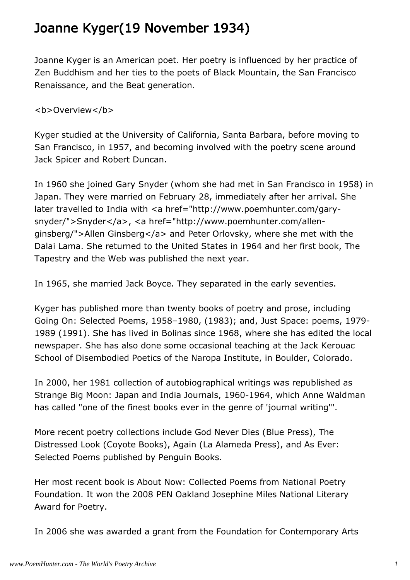# Joanne Kyger(19 November 1934)

Joanne Kyger is an American poet. Her poetry is influenced by her practice of Zen Buddhism and her ties to the poets of Black Mountain, the San Francisco Renaissance, and the Beat generation.

#### <b>Overview</b>

Kyger studied at the University of California, Santa Barbara, before moving to San Francisco, in 1957, and becoming involved with the poetry scene around Jack Spicer and Robert Duncan.

In 1960 she joined Gary Snyder (whom she had met in San Francisco in 1958) in Japan. They were married on February 28, immediately after her arrival. She later travelled to India with <a href="http://www.poemhunter.com/garysnyder/">Snyder</a>, <a href="http://www.poemhunter.com/allenginsberg/">Allen Ginsberg</a> and Peter Orlovsky, where she met with the Dalai Lama. She returned to the United States in 1964 and her first book, The Tapestry and the Web was published the next year.

In 1965, she married Jack Boyce. They separated in the early seventies.

Kyger has published more than twenty books of poetry and prose, including Going On: Selected Poems, 1958–1980, (1983); and, Just Space: poems, 1979- 1989 (1991). She has lived in Bolinas since 1968, where she has edited the local newspaper. She has also done some occasional teaching at the Jack Kerouac School of Disembodied Poetics of the Naropa Institute, in Boulder, Colorado.

In 2000, her 1981 collection of autobiographical writings was republished as Strange Big Moon: Japan and India Journals, 1960-1964, which Anne Waldman has called "one of the finest books ever in the genre of 'journal writing'".

More recent poetry collections include God Never Dies (Blue Press), The Distressed Look (Coyote Books), Again (La Alameda Press), and As Ever: Selected Poems published by Penguin Books.

Her most recent book is About Now: Collected Poems from National Poetry Foundation. It won the 2008 PEN Oakland Josephine Miles National Literary Award for Poetry.

In 2006 she was awarded a grant from the Foundation for Contemporary Arts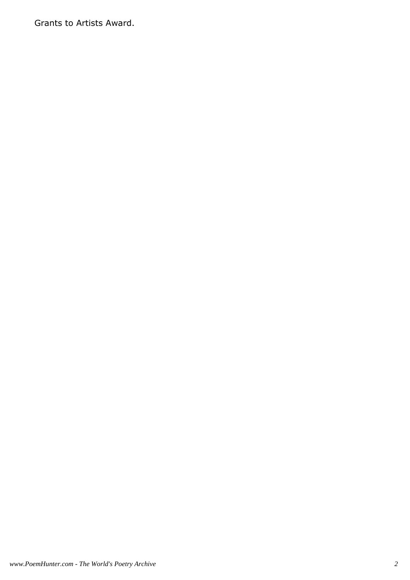Grants to Artists Award.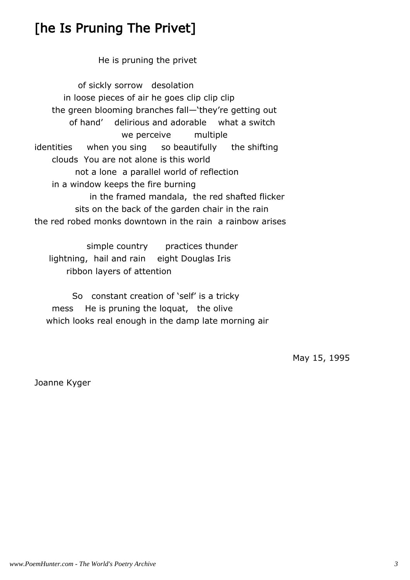# [he Is Pruning The Privet]

He is pruning the privet

 of sickly sorrow desolation in loose pieces of air he goes clip clip clip the green blooming branches fall—'they're getting out of hand' delirious and adorable what a switch we perceive multiple identities when you sing so beautifully the shifting clouds You are not alone is this world not a lone a parallel world of reflection in a window keeps the fire burning in the framed mandala, the red shafted flicker sits on the back of the garden chair in the rain the red robed monks downtown in the rain a rainbow arises

simple country practices thunder lightning, hail and rain eight Douglas Iris ribbon layers of attention

 So constant creation of 'self' is a tricky mess He is pruning the loquat, the olive which looks real enough in the damp late morning air

May 15, 1995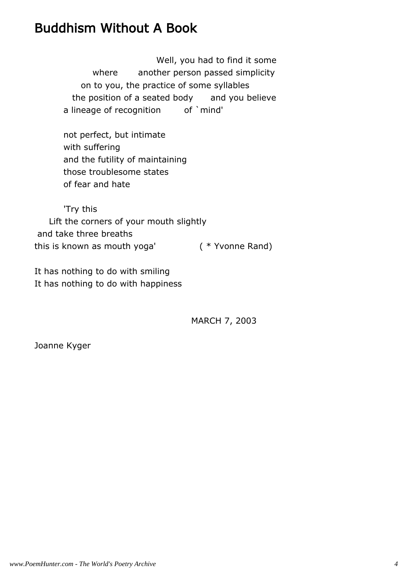### Buddhism Without A Book

 Well, you had to find it some where another person passed simplicity on to you, the practice of some syllables the position of a seated body and you believe a lineage of recognition of `mind'

 not perfect, but intimate with suffering and the futility of maintaining those troublesome states of fear and hate

 'Try this Lift the corners of your mouth slightly and take three breaths this is known as mouth yoga' ( \* Yvonne Rand)

It has nothing to do with smiling It has nothing to do with happiness

MARCH 7, 2003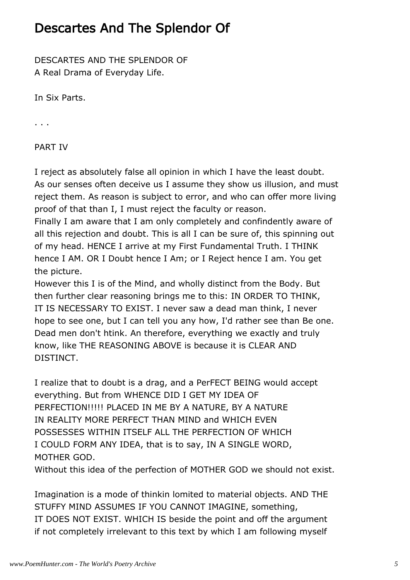# Descartes And The Splendor Of

DESCARTES AND THE SPLENDOR OF A Real Drama of Everyday Life.

In Six Parts.

. . .

PART IV

I reject as absolutely false all opinion in which I have the least doubt. As our senses often deceive us I assume they show us illusion, and must reject them. As reason is subject to error, and who can offer more living proof of that than I, I must reject the faculty or reason.

Finally I am aware that I am only completely and confindently aware of all this rejection and doubt. This is all I can be sure of, this spinning out of my head. HENCE I arrive at my First Fundamental Truth. I THINK hence I AM. OR I Doubt hence I Am; or I Reject hence I am. You get the picture.

However this I is of the Mind, and wholly distinct from the Body. But then further clear reasoning brings me to this: IN ORDER TO THINK, IT IS NECESSARY TO EXIST. I never saw a dead man think, I never hope to see one, but I can tell you any how, I'd rather see than Be one. Dead men don't htink. An therefore, everything we exactly and truly know, like THE REASONING ABOVE is because it is CLEAR AND DISTINCT.

I realize that to doubt is a drag, and a PerFECT BEING would accept everything. But from WHENCE DID I GET MY IDEA OF PERFECTION!!!!! PLACED IN ME BY A NATURE, BY A NATURE IN REALITY MORE PERFECT THAN MIND and WHICH EVEN POSSESSES WITHIN ITSELF ALL THE PERFECTION OF WHICH I COULD FORM ANY IDEA, that is to say, IN A SINGLE WORD, MOTHER GOD. Without this idea of the perfection of MOTHER GOD we should not exist.

Imagination is a mode of thinkin lomited to material objects. AND THE STUFFY MIND ASSUMES IF YOU CANNOT IMAGINE, something, IT DOES NOT EXIST. WHICH IS beside the point and off the argument if not completely irrelevant to this text by which I am following myself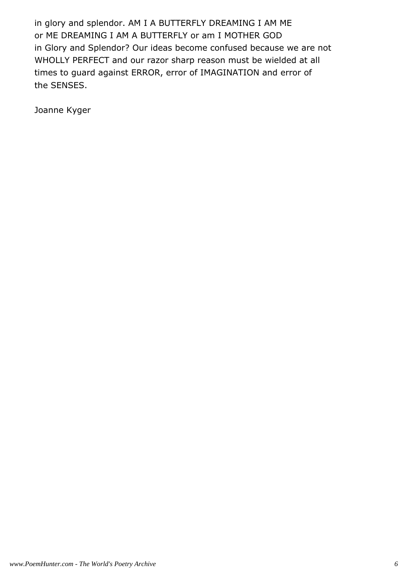in glory and splendor. AM I A BUTTERFLY DREAMING I AM ME or ME DREAMING I AM A BUTTERFLY or am I MOTHER GOD in Glory and Splendor? Our ideas become confused because we are not WHOLLY PERFECT and our razor sharp reason must be wielded at all times to guard against ERROR, error of IMAGINATION and error of the SENSES.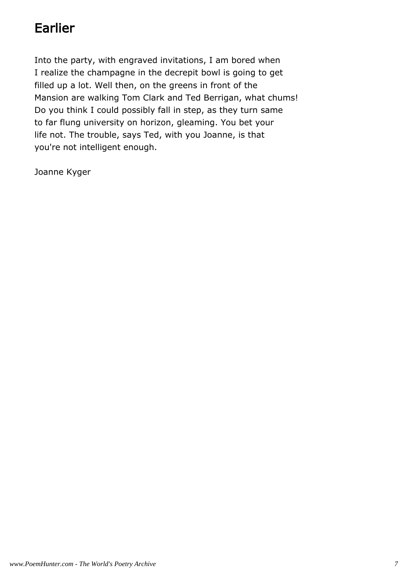# Earlier

Into the party, with engraved invitations, I am bored when I realize the champagne in the decrepit bowl is going to get filled up a lot. Well then, on the greens in front of the Mansion are walking Tom Clark and Ted Berrigan, what chums! Do you think I could possibly fall in step, as they turn same to far flung university on horizon, gleaming. You bet your life not. The trouble, says Ted, with you Joanne, is that you're not intelligent enough.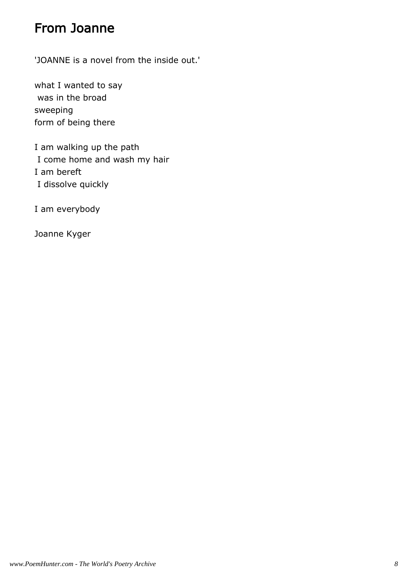# From Joanne

'JOANNE is a novel from the inside out.'

what I wanted to say was in the broad sweeping form of being there

I am walking up the path I come home and wash my hair I am bereft I dissolve quickly

I am everybody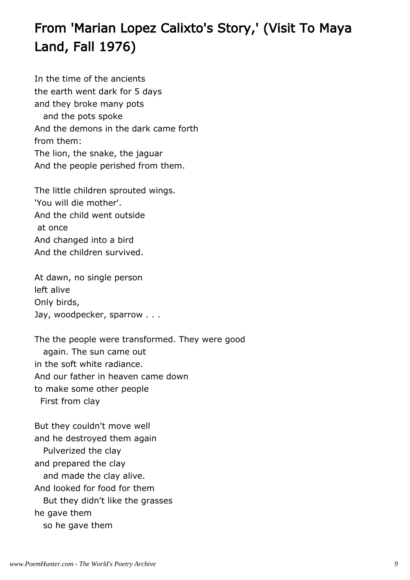# From 'Marian Lopez Calixto's Story,' (Visit To Maya Land, Fall 1976)

In the time of the ancients the earth went dark for 5 days and they broke many pots and the pots spoke And the demons in the dark came forth from them: The lion, the snake, the jaguar And the people perished from them.

The little children sprouted wings. 'You will die mother'. And the child went outside at once And changed into a bird And the children survived.

At dawn, no single person left alive Only birds, Jay, woodpecker, sparrow . . .

The the people were transformed. They were good again. The sun came out in the soft white radiance. And our father in heaven came down to make some other people First from clay

But they couldn't move well and he destroyed them again Pulverized the clay and prepared the clay and made the clay alive. And looked for food for them But they didn't like the grasses he gave them so he gave them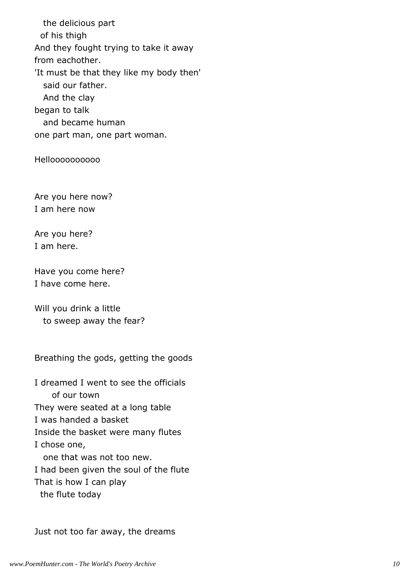the delicious part of his thigh And they fought trying to take it away from eachother. 'It must be that they like my body then' said our father. And the clay began to talk and became human one part man, one part woman.

Helloooooooooo

Are you here now? I am here now

Are you here? I am here.

Have you come here? I have come here.

Will you drink a little to sweep away the fear?

Breathing the gods, getting the goods

I dreamed I went to see the officials of our town They were seated at a long table I was handed a basket Inside the basket were many flutes I chose one, one that was not too new. I had been given the soul of the flute That is how I can play the flute today

Just not too far away, the dreams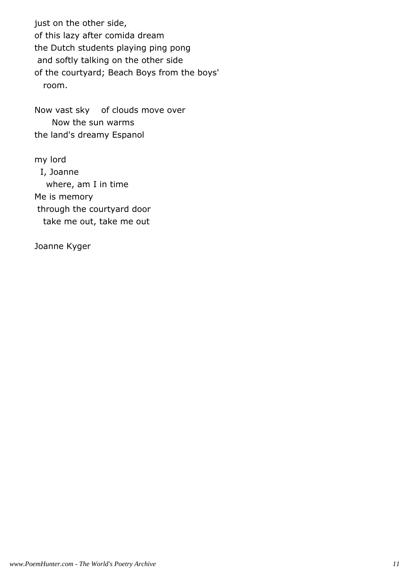just on the other side, of this lazy after comida dream the Dutch students playing ping pong and softly talking on the other side of the courtyard; Beach Boys from the boys' room.

Now vast sky of clouds move over Now the sun warms the land's dreamy Espanol

my lord I, Joanne where, am I in time Me is memory through the courtyard door take me out, take me out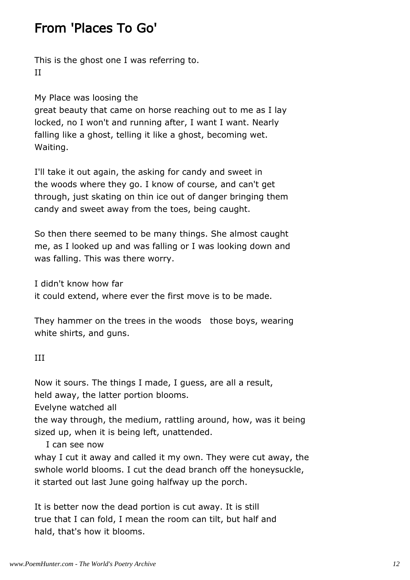# From 'Places To Go'

This is the ghost one I was referring to. II

My Place was loosing the

great beauty that came on horse reaching out to me as I lay locked, no I won't and running after, I want I want. Nearly falling like a ghost, telling it like a ghost, becoming wet. Waiting.

I'll take it out again, the asking for candy and sweet in the woods where they go. I know of course, and can't get through, just skating on thin ice out of danger bringing them candy and sweet away from the toes, being caught.

So then there seemed to be many things. She almost caught me, as I looked up and was falling or I was looking down and was falling. This was there worry.

I didn't know how far it could extend, where ever the first move is to be made.

They hammer on the trees in the woods those boys, wearing white shirts, and guns.

III

Now it sours. The things I made, I guess, are all a result, held away, the latter portion blooms.

Evelyne watched all

the way through, the medium, rattling around, how, was it being sized up, when it is being left, unattended.

I can see now

whay I cut it away and called it my own. They were cut away, the swhole world blooms. I cut the dead branch off the honeysuckle, it started out last June going halfway up the porch.

It is better now the dead portion is cut away. It is still true that I can fold, I mean the room can tilt, but half and hald, that's how it blooms.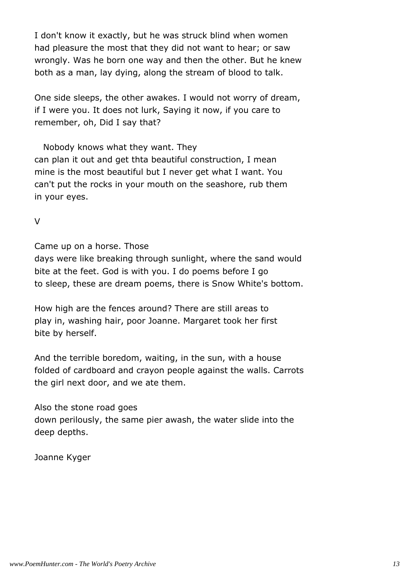I don't know it exactly, but he was struck blind when women had pleasure the most that they did not want to hear; or saw wrongly. Was he born one way and then the other. But he knew both as a man, lay dying, along the stream of blood to talk.

One side sleeps, the other awakes. I would not worry of dream, if I were you. It does not lurk, Saying it now, if you care to remember, oh, Did I say that?

 Nobody knows what they want. They can plan it out and get thta beautiful construction, I mean mine is the most beautiful but I never get what I want. You can't put the rocks in your mouth on the seashore, rub them in your eyes.

#### V

Came up on a horse. Those

days were like breaking through sunlight, where the sand would bite at the feet. God is with you. I do poems before I go to sleep, these are dream poems, there is Snow White's bottom.

How high are the fences around? There are still areas to play in, washing hair, poor Joanne. Margaret took her first bite by herself.

And the terrible boredom, waiting, in the sun, with a house folded of cardboard and crayon people against the walls. Carrots the girl next door, and we ate them.

Also the stone road goes down perilously, the same pier awash, the water slide into the deep depths.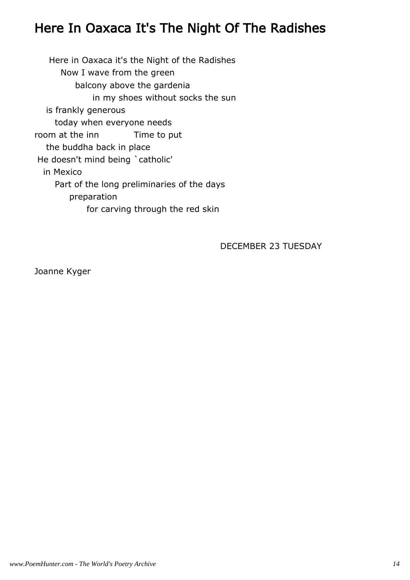# Here In Oaxaca It's The Night Of The Radishes

 Here in Oaxaca it's the Night of the Radishes Now I wave from the green balcony above the gardenia in my shoes without socks the sun is frankly generous today when everyone needs room at the inn Time to put the buddha back in place He doesn't mind being `catholic' in Mexico Part of the long preliminaries of the days preparation for carving through the red skin

#### DECEMBER 23 TUESDAY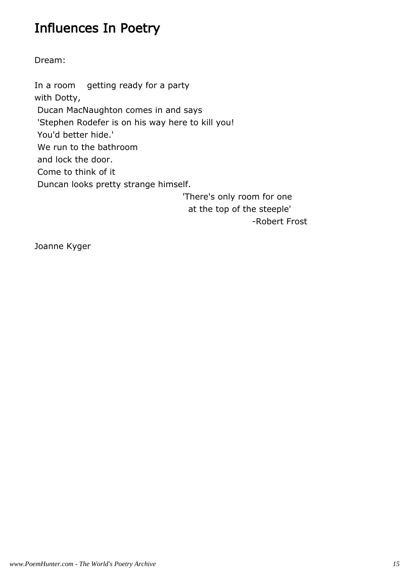# Influences In Poetry

Dream:

In a room getting ready for a party with Dotty, Ducan MacNaughton comes in and says 'Stephen Rodefer is on his way here to kill you! You'd better hide.' We run to the bathroom and lock the door. Come to think of it Duncan looks pretty strange himself. 'There's only room for one

 at the top of the steeple' -Robert Frost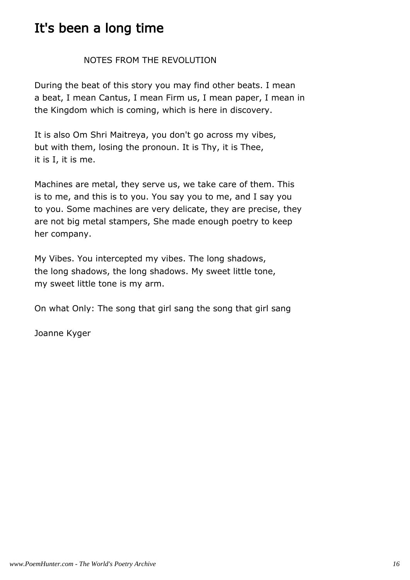# It's been a long time

#### NOTES FROM THE REVOLUTION

During the beat of this story you may find other beats. I mean a beat, I mean Cantus, I mean Firm us, I mean paper, I mean in the Kingdom which is coming, which is here in discovery.

It is also Om Shri Maitreya, you don't go across my vibes, but with them, losing the pronoun. It is Thy, it is Thee, it is I, it is me.

Machines are metal, they serve us, we take care of them. This is to me, and this is to you. You say you to me, and I say you to you. Some machines are very delicate, they are precise, they are not big metal stampers, She made enough poetry to keep her company.

My Vibes. You intercepted my vibes. The long shadows, the long shadows, the long shadows. My sweet little tone, my sweet little tone is my arm.

On what Only: The song that girl sang the song that girl sang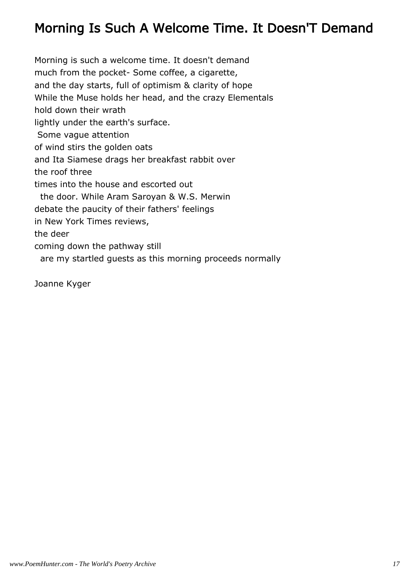# Morning Is Such A Welcome Time. It Doesn'T Demand

Morning is such a welcome time. It doesn't demand much from the pocket- Some coffee, a cigarette, and the day starts, full of optimism & clarity of hope While the Muse holds her head, and the crazy Elementals hold down their wrath lightly under the earth's surface. Some vague attention of wind stirs the golden oats and Ita Siamese drags her breakfast rabbit over the roof three times into the house and escorted out the door. While Aram Saroyan & W.S. Merwin debate the paucity of their fathers' feelings in New York Times reviews, the deer coming down the pathway still are my startled guests as this morning proceeds normally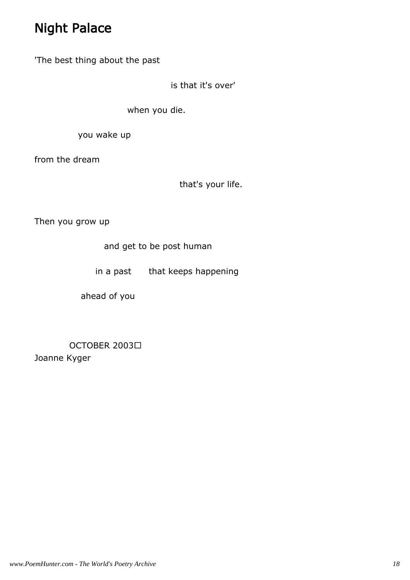# Night Palace

'The best thing about the past

is that it's over'

when you die.

you wake up

from the dream

that's your life.

Then you grow up

and get to be post human

in a past that keeps happening

ahead of you

 OCTOBER 2003 Joanne Kyger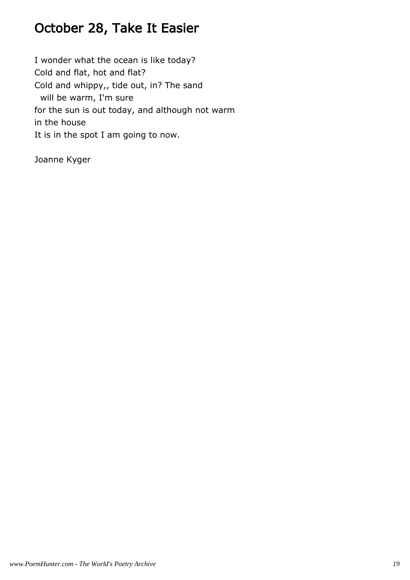# October 28, Take It Easier

I wonder what the ocean is like today? Cold and flat, hot and flat? Cold and whippy,, tide out, in? The sand will be warm, I'm sure for the sun is out today, and although not warm in the house It is in the spot I am going to now.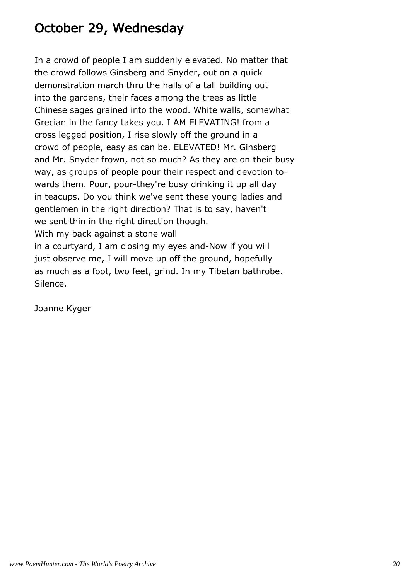# October 29, Wednesday

In a crowd of people I am suddenly elevated. No matter that the crowd follows Ginsberg and Snyder, out on a quick demonstration march thru the halls of a tall building out into the gardens, their faces among the trees as little Chinese sages grained into the wood. White walls, somewhat Grecian in the fancy takes you. I AM ELEVATING! from a cross legged position, I rise slowly off the ground in a crowd of people, easy as can be. ELEVATED! Mr. Ginsberg and Mr. Snyder frown, not so much? As they are on their busy way, as groups of people pour their respect and devotion towards them. Pour, pour-they're busy drinking it up all day in teacups. Do you think we've sent these young ladies and gentlemen in the right direction? That is to say, haven't we sent thin in the right direction though. With my back against a stone wall in a courtyard, I am closing my eyes and-Now if you will just observe me, I will move up off the ground, hopefully as much as a foot, two feet, grind. In my Tibetan bathrobe.

Joanne Kyger

Silence.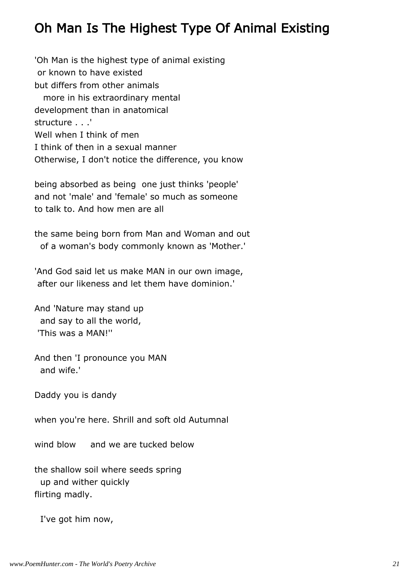# Oh Man Is The Highest Type Of Animal Existing

'Oh Man is the highest type of animal existing or known to have existed but differs from other animals more in his extraordinary mental development than in anatomical structure . . .' Well when I think of men I think of then in a sexual manner Otherwise, I don't notice the difference, you know

being absorbed as being one just thinks 'people' and not 'male' and 'female' so much as someone to talk to. And how men are all

the same being born from Man and Woman and out of a woman's body commonly known as 'Mother.'

'And God said let us make MAN in our own image, after our likeness and let them have dominion.'

And 'Nature may stand up and say to all the world, 'This was a MAN!''

And then 'I pronounce you MAN and wife.'

Daddy you is dandy

when you're here. Shrill and soft old Autumnal

wind blow and we are tucked below

the shallow soil where seeds spring up and wither quickly flirting madly.

I've got him now,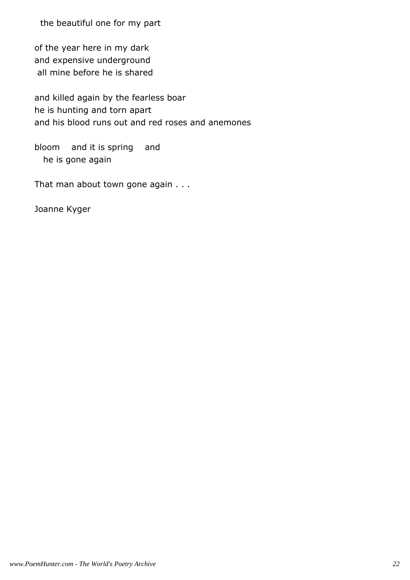the beautiful one for my part

of the year here in my dark and expensive underground all mine before he is shared

and killed again by the fearless boar he is hunting and torn apart and his blood runs out and red roses and anemones

bloom and it is spring and he is gone again

That man about town gone again . . .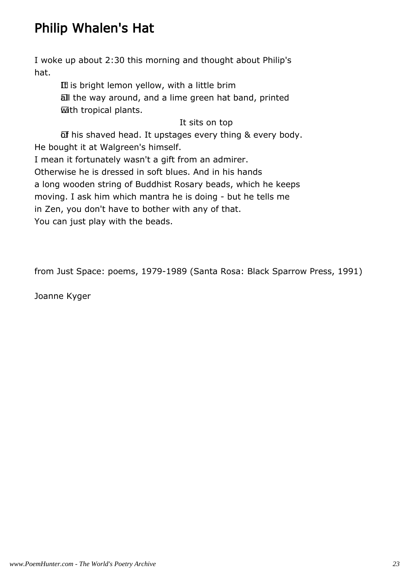# Philip Whalen's Hat

I woke up about 2:30 this morning and thought about Philip's hat.

 It is bright lemon yellow, with a little brim

 all the way around, and a lime green hat band, printed with tropical plants.

It sits on top

 of his shaved head. It upstages every thing & every body. He bought it at Walgreen's himself. I mean it fortunately wasn't a gift from an admirer. Otherwise he is dressed in soft blues. And in his hands a long wooden string of Buddhist Rosary beads, which he keeps moving. I ask him which mantra he is doing - but he tells me in Zen, you don't have to bother with any of that. You can just play with the beads.

from Just Space: poems, 1979-1989 (Santa Rosa: Black Sparrow Press, 1991)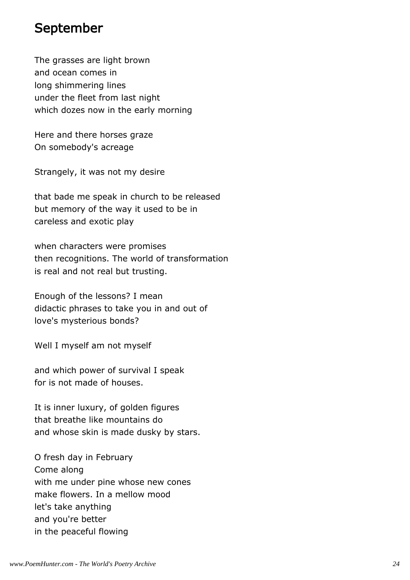### September

The grasses are light brown and ocean comes in long shimmering lines under the fleet from last night which dozes now in the early morning

Here and there horses graze On somebody's acreage

Strangely, it was not my desire

that bade me speak in church to be released but memory of the way it used to be in careless and exotic play

when characters were promises then recognitions. The world of transformation is real and not real but trusting.

Enough of the lessons? I mean didactic phrases to take you in and out of love's mysterious bonds?

Well I myself am not myself

and which power of survival I speak for is not made of houses.

It is inner luxury, of golden figures that breathe like mountains do and whose skin is made dusky by stars.

O fresh day in February Come along with me under pine whose new cones make flowers. In a mellow mood let's take anything and you're better in the peaceful flowing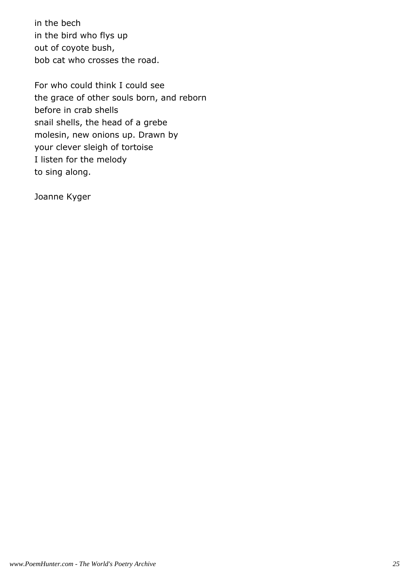in the bech in the bird who flys up out of coyote bush, bob cat who crosses the road.

For who could think I could see the grace of other souls born, and reborn before in crab shells snail shells, the head of a grebe molesin, new onions up. Drawn by your clever sleigh of tortoise I listen for the melody to sing along.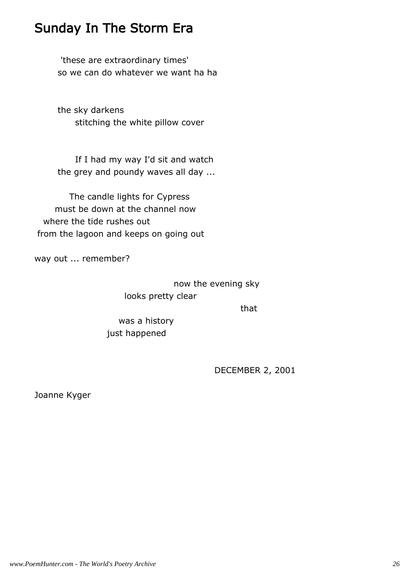### Sunday In The Storm Era

 'these are extraordinary times' so we can do whatever we want ha ha

 the sky darkens stitching the white pillow cover

 If I had my way I'd sit and watch the grey and poundy waves all day ...

 The candle lights for Cypress must be down at the channel now where the tide rushes out from the lagoon and keeps on going out

way out ... remember?

 now the evening sky looks pretty clear

that is a strong of the control of the control of the control of the control of the control of the control of

 was a history just happened

DECEMBER 2, 2001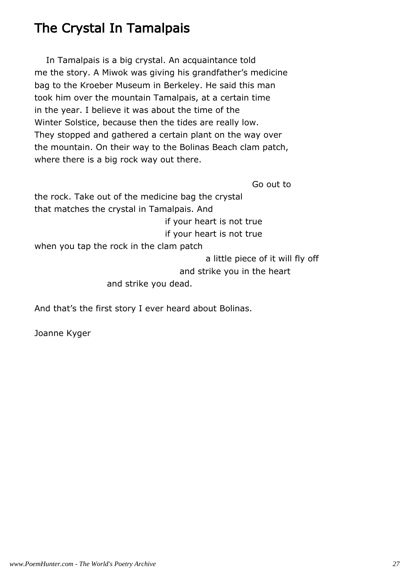# The Crystal In Tamalpais

 In Tamalpais is a big crystal. An acquaintance told me the story. A Miwok was giving his grandfather's medicine bag to the Kroeber Museum in Berkeley. He said this man took him over the mountain Tamalpais, at a certain time in the year. I believe it was about the time of the Winter Solstice, because then the tides are really low. They stopped and gathered a certain plant on the way over the mountain. On their way to the Bolinas Beach clam patch, where there is a big rock way out there.

Go out to

the rock. Take out of the medicine bag the crystal that matches the crystal in Tamalpais. And if your heart is not true if your heart is not true when you tap the rock in the clam patch a little piece of it will fly off and strike you in the heart and strike you dead.

And that's the first story I ever heard about Bolinas.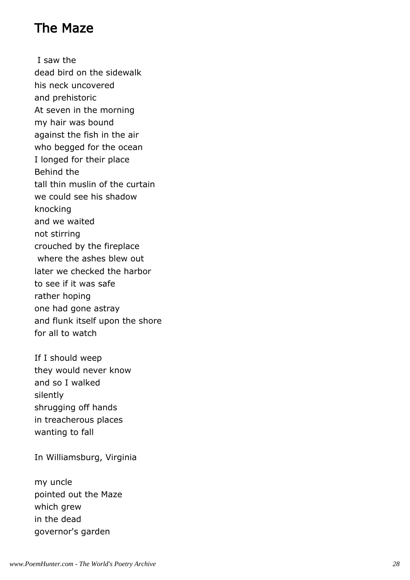# The Maze

 I saw the dead bird on the sidewalk his neck uncovered and prehistoric At seven in the morning my hair was bound against the fish in the air who begged for the ocean I longed for their place Behind the tall thin muslin of the curtain we could see his shadow knocking and we waited not stirring crouched by the fireplace where the ashes blew out later we checked the harbor to see if it was safe rather hoping one had gone astray and flunk itself upon the shore for all to watch

If I should weep they would never know and so I walked silently shrugging off hands in treacherous places wanting to fall

In Williamsburg, Virginia

my uncle pointed out the Maze which grew in the dead governor's garden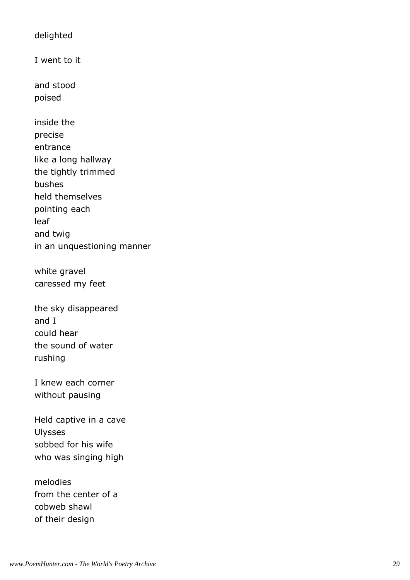delighted

I went to it

and stood poised

inside the precise entrance like a long hallway the tightly trimmed bushes held themselves pointing each leaf and twig in an unquestioning manner

white gravel caressed my feet

the sky disappeared and I could hear the sound of water rushing

I knew each corner without pausing

Held captive in a cave Ulysses sobbed for his wife who was singing high

melodies from the center of a cobweb shawl of their design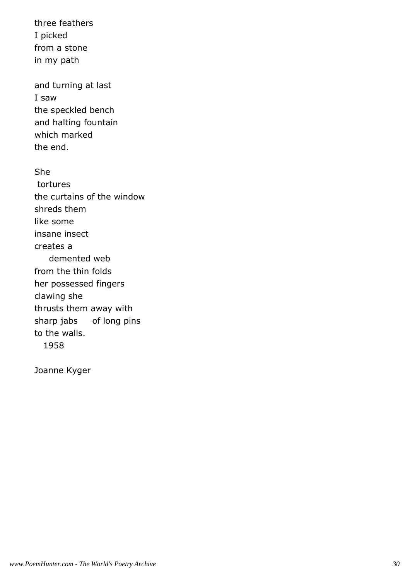three feathers I picked from a stone in my path

and turning at last I saw the speckled bench and halting fountain which marked the end.

She tortures the curtains of the window shreds them like some insane insect creates a demented web from the thin folds her possessed fingers clawing she thrusts them away with sharp jabs of long pins to the walls. 1958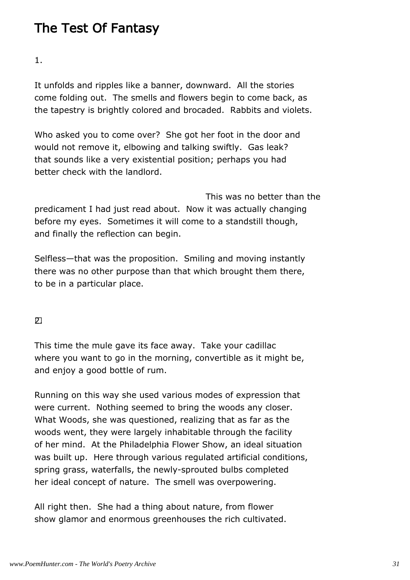# The Test Of Fantasy

1.

It unfolds and ripples like a banner, downward. All the stories come folding out. The smells and flowers begin to come back, as the tapestry is brightly colored and brocaded. Rabbits and violets.

Who asked you to come over? She got her foot in the door and would not remove it, elbowing and talking swiftly. Gas leak? that sounds like a very existential position; perhaps you had better check with the landlord.

 This was no better than the predicament I had just read about. Now it was actually changing before my eyes. Sometimes it will come to a standstill though, and finally the reflection can begin.

Selfless—that was the proposition. Smiling and moving instantly there was no other purpose than that which brought them there, to be in a particular place.

2.

This time the mule gave its face away. Take your cadillac where you want to go in the morning, convertible as it might be, and enjoy a good bottle of rum.

Running on this way she used various modes of expression that were current. Nothing seemed to bring the woods any closer. What Woods, she was questioned, realizing that as far as the woods went, they were largely inhabitable through the facility of her mind. At the Philadelphia Flower Show, an ideal situation was built up. Here through various regulated artificial conditions, spring grass, waterfalls, the newly-sprouted bulbs completed her ideal concept of nature. The smell was overpowering.

All right then. She had a thing about nature, from flower show glamor and enormous greenhouses the rich cultivated.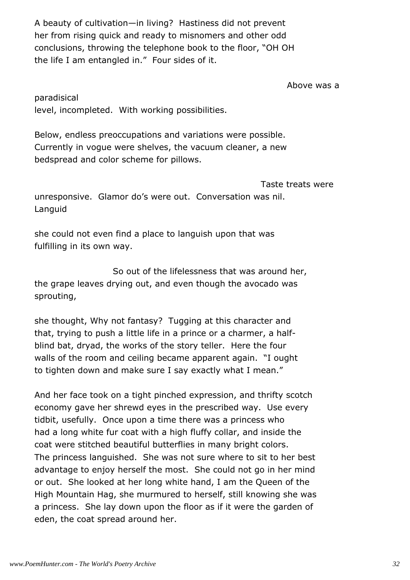A beauty of cultivation—in living? Hastiness did not prevent her from rising quick and ready to misnomers and other odd conclusions, throwing the telephone book to the floor, "OH OH the life I am entangled in." Four sides of it.

Above was a

paradisical level, incompleted. With working possibilities.

Below, endless preoccupations and variations were possible. Currently in vogue were shelves, the vacuum cleaner, a new bedspread and color scheme for pillows.

 Taste treats were unresponsive. Glamor do's were out. Conversation was nil. Languid

she could not even find a place to languish upon that was fulfilling in its own way.

 So out of the lifelessness that was around her, the grape leaves drying out, and even though the avocado was sprouting,

she thought, Why not fantasy? Tugging at this character and that, trying to push a little life in a prince or a charmer, a halfblind bat, dryad, the works of the story teller. Here the four walls of the room and ceiling became apparent again. "I ought to tighten down and make sure I say exactly what I mean."

And her face took on a tight pinched expression, and thrifty scotch economy gave her shrewd eyes in the prescribed way. Use every tidbit, usefully. Once upon a time there was a princess who had a long white fur coat with a high fluffy collar, and inside the coat were stitched beautiful butterflies in many bright colors. The princess languished. She was not sure where to sit to her best advantage to enjoy herself the most. She could not go in her mind or out. She looked at her long white hand, I am the Queen of the High Mountain Hag, she murmured to herself, still knowing she was a princess. She lay down upon the floor as if it were the garden of eden, the coat spread around her.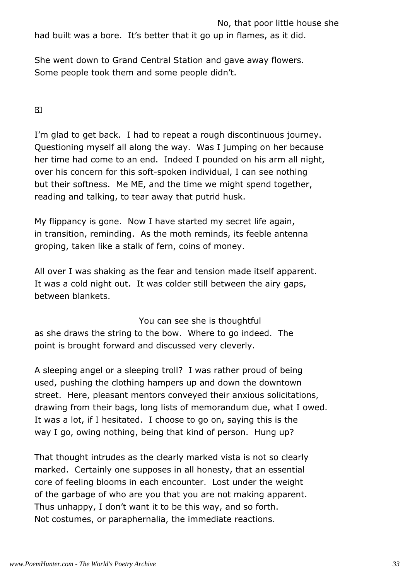No, that poor little house she had built was a bore. It's better that it go up in flames, as it did.

She went down to Grand Central Station and gave away flowers. Some people took them and some people didn't.

3.

I'm glad to get back. I had to repeat a rough discontinuous journey. Questioning myself all along the way. Was I jumping on her because her time had come to an end. Indeed I pounded on his arm all night, over his concern for this soft-spoken individual, I can see nothing but their softness. Me ME, and the time we might spend together, reading and talking, to tear away that putrid husk.

My flippancy is gone. Now I have started my secret life again, in transition, reminding. As the moth reminds, its feeble antenna groping, taken like a stalk of fern, coins of money.

All over I was shaking as the fear and tension made itself apparent. It was a cold night out. It was colder still between the airy gaps, between blankets.

 You can see she is thoughtful as she draws the string to the bow. Where to go indeed. The point is brought forward and discussed very cleverly.

A sleeping angel or a sleeping troll? I was rather proud of being used, pushing the clothing hampers up and down the downtown street. Here, pleasant mentors conveyed their anxious solicitations, drawing from their bags, long lists of memorandum due, what I owed. It was a lot, if I hesitated. I choose to go on, saying this is the way I go, owing nothing, being that kind of person. Hung up?

That thought intrudes as the clearly marked vista is not so clearly marked. Certainly one supposes in all honesty, that an essential core of feeling blooms in each encounter. Lost under the weight of the garbage of who are you that you are not making apparent. Thus unhappy, I don't want it to be this way, and so forth. Not costumes, or paraphernalia, the immediate reactions.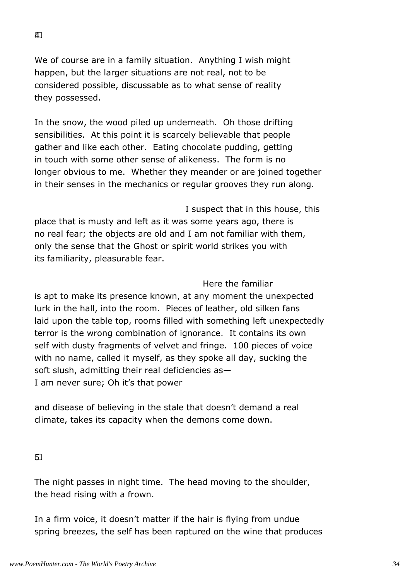We of course are in a family situation. Anything I wish might happen, but the larger situations are not real, not to be considered possible, discussable as to what sense of reality they possessed.

In the snow, the wood piled up underneath. Oh those drifting sensibilities. At this point it is scarcely believable that people gather and like each other. Eating chocolate pudding, getting in touch with some other sense of alikeness. The form is no longer obvious to me. Whether they meander or are joined together in their senses in the mechanics or regular grooves they run along.

 I suspect that in this house, this place that is musty and left as it was some years ago, there is no real fear; the objects are old and I am not familiar with them, only the sense that the Ghost or spirit world strikes you with its familiarity, pleasurable fear.

#### Here the familiar

is apt to make its presence known, at any moment the unexpected lurk in the hall, into the room. Pieces of leather, old silken fans laid upon the table top, rooms filled with something left unexpectedly terror is the wrong combination of ignorance. It contains its own self with dusty fragments of velvet and fringe. 100 pieces of voice with no name, called it myself, as they spoke all day, sucking the soft slush, admitting their real deficiencies as— I am never sure; Oh it's that power

and disease of believing in the stale that doesn't demand a real climate, takes its capacity when the demons come down.

5.

The night passes in night time. The head moving to the shoulder, the head rising with a frown.

In a firm voice, it doesn't matter if the hair is flying from undue spring breezes, the self has been raptured on the wine that produces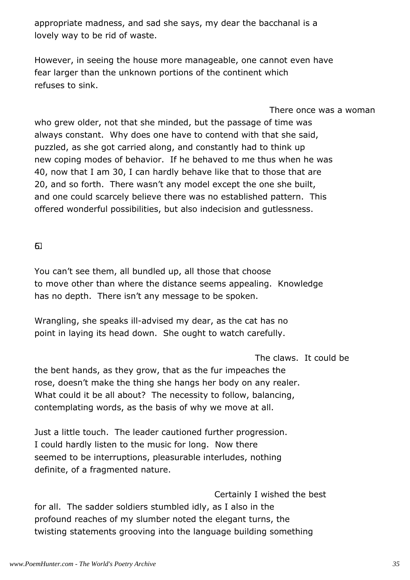appropriate madness, and sad she says, my dear the bacchanal is a lovely way to be rid of waste.

However, in seeing the house more manageable, one cannot even have fear larger than the unknown portions of the continent which refuses to sink.

There once was a woman

who grew older, not that she minded, but the passage of time was always constant. Why does one have to contend with that she said, puzzled, as she got carried along, and constantly had to think up new coping modes of behavior. If he behaved to me thus when he was 40, now that I am 30, I can hardly behave like that to those that are 20, and so forth. There wasn't any model except the one she built, and one could scarcely believe there was no established pattern. This offered wonderful possibilities, but also indecision and gutlessness.

#### 6.

You can't see them, all bundled up, all those that choose to move other than where the distance seems appealing. Knowledge has no depth. There isn't any message to be spoken.

Wrangling, she speaks ill-advised my dear, as the cat has no point in laying its head down. She ought to watch carefully.

The claws. It could be

the bent hands, as they grow, that as the fur impeaches the rose, doesn't make the thing she hangs her body on any realer. What could it be all about? The necessity to follow, balancing, contemplating words, as the basis of why we move at all.

Just a little touch. The leader cautioned further progression. I could hardly listen to the music for long. Now there seemed to be interruptions, pleasurable interludes, nothing definite, of a fragmented nature.

 Certainly I wished the best for all. The sadder soldiers stumbled idly, as I also in the profound reaches of my slumber noted the elegant turns, the twisting statements grooving into the language building something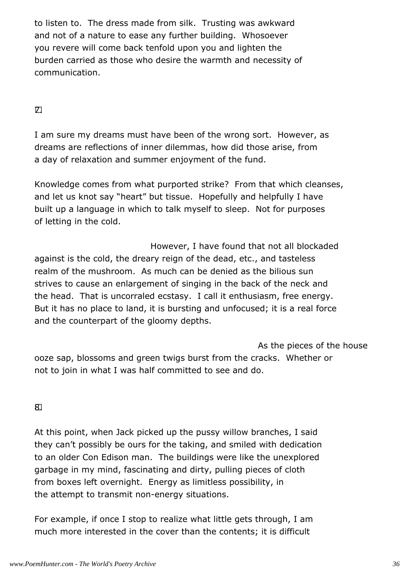to listen to. The dress made from silk. Trusting was awkward and not of a nature to ease any further building. Whosoever you revere will come back tenfold upon you and lighten the burden carried as those who desire the warmth and necessity of communication.

#### 7.

I am sure my dreams must have been of the wrong sort. However, as dreams are reflections of inner dilemmas, how did those arise, from a day of relaxation and summer enjoyment of the fund.

Knowledge comes from what purported strike? From that which cleanses, and let us knot say "heart" but tissue. Hopefully and helpfully I have built up a language in which to talk myself to sleep. Not for purposes of letting in the cold.

 However, I have found that not all blockaded against is the cold, the dreary reign of the dead, etc., and tasteless realm of the mushroom. As much can be denied as the bilious sun strives to cause an enlargement of singing in the back of the neck and the head. That is uncorraled ecstasy. I call it enthusiasm, free energy. But it has no place to land, it is bursting and unfocused; it is a real force and the counterpart of the gloomy depths.

 As the pieces of the house ooze sap, blossoms and green twigs burst from the cracks. Whether or not to join in what I was half committed to see and do.

### 8.

At this point, when Jack picked up the pussy willow branches, I said they can't possibly be ours for the taking, and smiled with dedication to an older Con Edison man. The buildings were like the unexplored garbage in my mind, fascinating and dirty, pulling pieces of cloth from boxes left overnight. Energy as limitless possibility, in the attempt to transmit non-energy situations.

For example, if once I stop to realize what little gets through, I am much more interested in the cover than the contents; it is difficult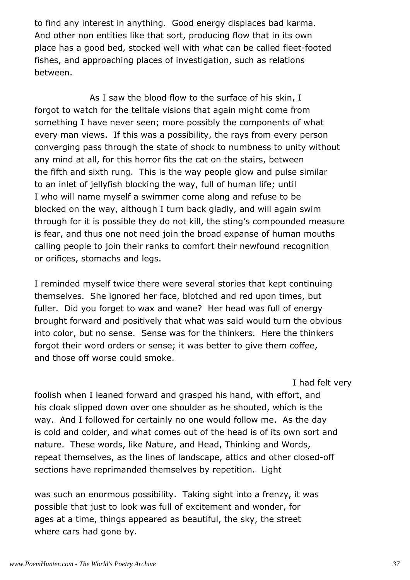to find any interest in anything. Good energy displaces bad karma. And other non entities like that sort, producing flow that in its own place has a good bed, stocked well with what can be called fleet-footed fishes, and approaching places of investigation, such as relations between.

 As I saw the blood flow to the surface of his skin, I forgot to watch for the telltale visions that again might come from something I have never seen; more possibly the components of what every man views. If this was a possibility, the rays from every person converging pass through the state of shock to numbness to unity without any mind at all, for this horror fits the cat on the stairs, between the fifth and sixth rung. This is the way people glow and pulse similar to an inlet of jellyfish blocking the way, full of human life; until I who will name myself a swimmer come along and refuse to be blocked on the way, although I turn back gladly, and will again swim through for it is possible they do not kill, the sting's compounded measure is fear, and thus one not need join the broad expanse of human mouths calling people to join their ranks to comfort their newfound recognition or orifices, stomachs and legs.

I reminded myself twice there were several stories that kept continuing themselves. She ignored her face, blotched and red upon times, but fuller. Did you forget to wax and wane? Her head was full of energy brought forward and positively that what was said would turn the obvious into color, but no sense. Sense was for the thinkers. Here the thinkers forgot their word orders or sense; it was better to give them coffee, and those off worse could smoke.

I had felt very

foolish when I leaned forward and grasped his hand, with effort, and his cloak slipped down over one shoulder as he shouted, which is the way. And I followed for certainly no one would follow me. As the day is cold and colder, and what comes out of the head is of its own sort and nature. These words, like Nature, and Head, Thinking and Words, repeat themselves, as the lines of landscape, attics and other closed-off sections have reprimanded themselves by repetition. Light

was such an enormous possibility. Taking sight into a frenzy, it was possible that just to look was full of excitement and wonder, for ages at a time, things appeared as beautiful, the sky, the street where cars had gone by.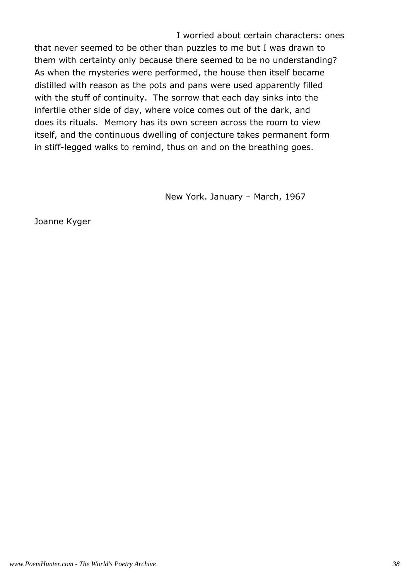I worried about certain characters: ones that never seemed to be other than puzzles to me but I was drawn to them with certainty only because there seemed to be no understanding? As when the mysteries were performed, the house then itself became distilled with reason as the pots and pans were used apparently filled with the stuff of continuity. The sorrow that each day sinks into the infertile other side of day, where voice comes out of the dark, and does its rituals. Memory has its own screen across the room to view itself, and the continuous dwelling of conjecture takes permanent form in stiff-legged walks to remind, thus on and on the breathing goes.

New York. January – March, 1967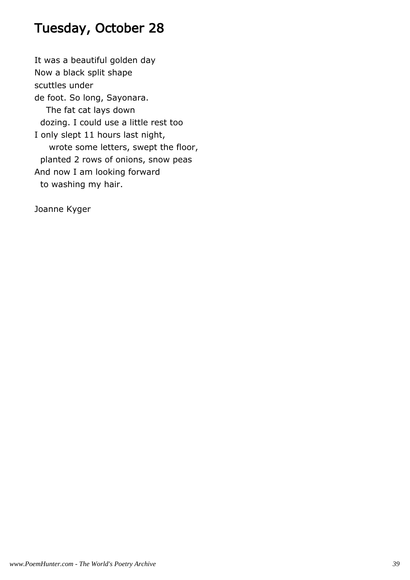# Tuesday, October 28

It was a beautiful golden day Now a black split shape scuttles under de foot. So long, Sayonara. The fat cat lays down dozing. I could use a little rest too I only slept 11 hours last night, wrote some letters, swept the floor, planted 2 rows of onions, snow peas And now I am looking forward to washing my hair.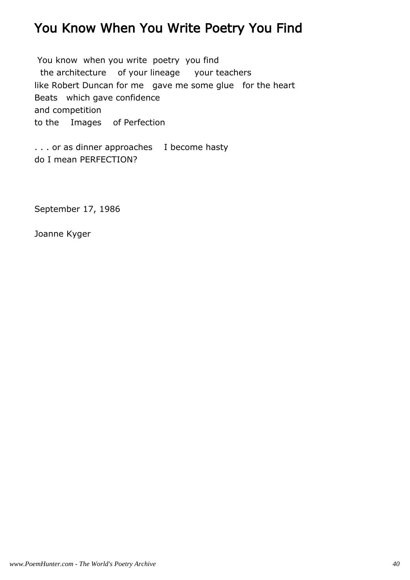# You Know When You Write Poetry You Find

 You know when you write poetry you find the architecture of your lineage your teachers like Robert Duncan for me gave me some glue for the heart Beats which gave confidence and competition to the Images of Perfection

... or as dinner approaches I become hasty do I mean PERFECTION?

September 17, 1986